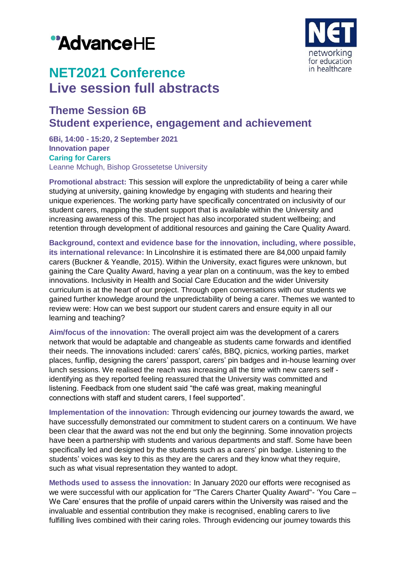# "AdvanceHE



## **NET2021 Conference Live session full abstracts**

### **Theme Session 6B Student experience, engagement and achievement**

**6Bi, 14:00 - 15:20, 2 September 2021 Innovation paper Caring for Carers** Leanne Mchugh, Bishop Grossetetse University

**Promotional abstract:** This session will explore the unpredictability of being a carer while studying at university, gaining knowledge by engaging with students and hearing their unique experiences. The working party have specifically concentrated on inclusivity of our student carers, mapping the student support that is available within the University and increasing awareness of this. The project has also incorporated student wellbeing; and retention through development of additional resources and gaining the Care Quality Award.

**Background, context and evidence base for the innovation, including, where possible, its international relevance:** In Lincolnshire it is estimated there are 84,000 unpaid family carers (Buckner & Yeandle, 2015). Within the University, exact figures were unknown, but gaining the Care Quality Award, having a year plan on a continuum, was the key to embed innovations. Inclusivity in Health and Social Care Education and the wider University curriculum is at the heart of our project. Through open conversations with our students we gained further knowledge around the unpredictability of being a carer. Themes we wanted to review were: How can we best support our student carers and ensure equity in all our learning and teaching?

**Aim/focus of the innovation:** The overall project aim was the development of a carers network that would be adaptable and changeable as students came forwards and identified their needs. The innovations included: carers' cafés, BBQ, picnics, working parties, market places, funflip, designing the carers' passport, carers' pin badges and in-house learning over lunch sessions. We realised the reach was increasing all the time with new carers self identifying as they reported feeling reassured that the University was committed and listening. Feedback from one student said "the café was great, making meaningful connections with staff and student carers, I feel supported".

**Implementation of the innovation:** Through evidencing our journey towards the award, we have successfully demonstrated our commitment to student carers on a continuum. We have been clear that the award was not the end but only the beginning. Some innovation projects have been a partnership with students and various departments and staff. Some have been specifically led and designed by the students such as a carers' pin badge. Listening to the students' voices was key to this as they are the carers and they know what they require, such as what visual representation they wanted to adopt.

**Methods used to assess the innovation:** In January 2020 our efforts were recognised as we were successful with our application for "The Carers Charter Quality Award"- 'You Care – We Care' ensures that the profile of unpaid carers within the University was raised and the invaluable and essential contribution they make is recognised, enabling carers to live fulfilling lives combined with their caring roles. Through evidencing our journey towards this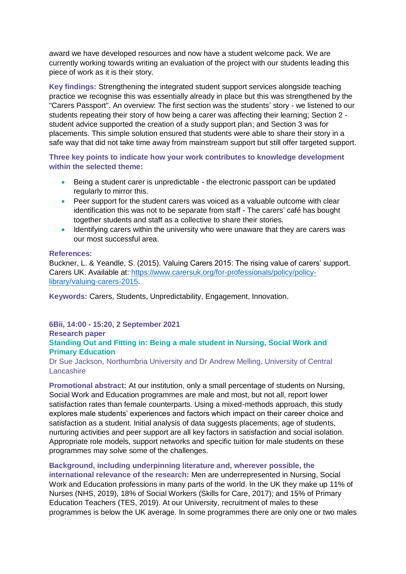award we have developed resources and now have a student welcome pack. We are currently working towards writing an evaluation of the project with our students leading this piece of work as it is their story.

**Key findings:** Strengthening the integrated student support services alongside teaching practice we recognise this was essentially already in place but this was strengthened by the "Carers Passport". An overview: The first section was the students' story - we listened to our students repeating their story of how being a carer was affecting their learning; Section 2 student advice supported the creation of a study support plan; and Section 3 was for placements. This simple solution ensured that students were able to share their story in a safe way that did not take time away from mainstream support but still offer targeted support.

**Three key points to indicate how your work contributes to knowledge development within the selected theme:**

- Being a student carer is unpredictable the electronic passport can be updated regularly to mirror this.
- Peer support for the student carers was voiced as a valuable outcome with clear identification this was not to be separate from staff - The carers' café has bought together students and staff as a collective to share their stories.
- Identifying carers within the university who were unaware that they are carers was our most successful area.

#### **References:**

Buckner, L. & Yeandle, S. (2015). Valuing Carers 2015: The rising value of carers' support. Carers UK. Available at: [https://www.carersuk.org/for-professionals/policy/policy](https://www.carersuk.org/for-professionals/policy/policy-library/valuing-carers-2015)[library/valuing-carers-2015.](https://www.carersuk.org/for-professionals/policy/policy-library/valuing-carers-2015)

**Keywords:** Carers, Students, Unpredictability, Engagement, Innovation.

**6Bii, 14:00 - 15:20, 2 September 2021**

#### **Research paper Standing Out and Fitting in: Being a male student in Nursing, Social Work and Primary Education**

Dr Sue Jackson, Northumbria University and Dr Andrew Melling, University of Central **Lancashire** 

**Promotional abstract:** At our institution, only a small percentage of students on Nursing, Social Work and Education programmes are male and most, but not all, report lower satisfaction rates than female counterparts. Using a mixed-methods approach, this study explores male students' experiences and factors which impact on their career choice and satisfaction as a student. Initial analysis of data suggests placements, age of students, nurturing activities and peer support are all key factors in satisfaction and social isolation. Appropriate role models, support networks and specific tuition for male students on these programmes may solve some of the challenges.

#### **Background, including underpinning literature and, wherever possible, the**

**international relevance of the research:** Men are underrepresented in Nursing, Social Work and Education professions in many parts of the world. In the UK they make up 11% of Nurses (NHS, 2019), 18% of Social Workers (Skills for Care, 2017); and 15% of Primary Education Teachers (TES, 2019). At our University, recruitment of males to these programmes is below the UK average. In some programmes there are only one or two males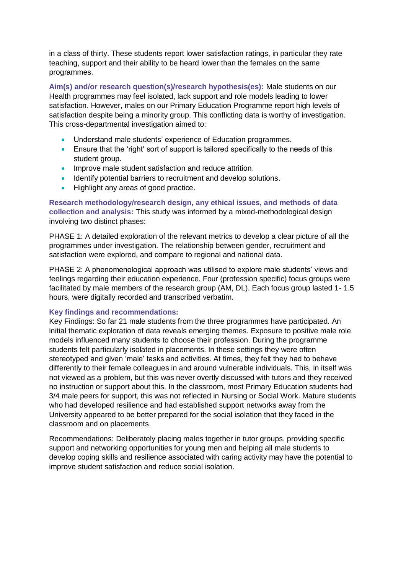in a class of thirty. These students report lower satisfaction ratings, in particular they rate teaching, support and their ability to be heard lower than the females on the same programmes.

**Aim(s) and/or research question(s)/research hypothesis(es):** Male students on our Health programmes may feel isolated, lack support and role models leading to lower satisfaction. However, males on our Primary Education Programme report high levels of satisfaction despite being a minority group. This conflicting data is worthy of investigation. This cross-departmental investigation aimed to:

- Understand male students' experience of Education programmes.
- Ensure that the 'right' sort of support is tailored specifically to the needs of this student group.
- **Improve male student satisfaction and reduce attrition.**
- Identify potential barriers to recruitment and develop solutions.
- Highlight any areas of good practice.

**Research methodology/research design, any ethical issues, and methods of data collection and analysis:** This study was informed by a mixed-methodological design involving two distinct phases:

PHASE 1: A detailed exploration of the relevant metrics to develop a clear picture of all the programmes under investigation. The relationship between gender, recruitment and satisfaction were explored, and compare to regional and national data.

PHASE 2: A phenomenological approach was utilised to explore male students' views and feelings regarding their education experience. Four (profession specific) focus groups were facilitated by male members of the research group (AM, DL). Each focus group lasted 1- 1.5 hours, were digitally recorded and transcribed verbatim.

#### **Key findings and recommendations:**

Key Findings: So far 21 male students from the three programmes have participated. An initial thematic exploration of data reveals emerging themes. Exposure to positive male role models influenced many students to choose their profession. During the programme students felt particularly isolated in placements. In these settings they were often stereotyped and given 'male' tasks and activities. At times, they felt they had to behave differently to their female colleagues in and around vulnerable individuals. This, in itself was not viewed as a problem, but this was never overtly discussed with tutors and they received no instruction or support about this. In the classroom, most Primary Education students had 3/4 male peers for support, this was not reflected in Nursing or Social Work. Mature students who had developed resilience and had established support networks away from the University appeared to be better prepared for the social isolation that they faced in the classroom and on placements.

Recommendations: Deliberately placing males together in tutor groups, providing specific support and networking opportunities for young men and helping all male students to develop coping skills and resilience associated with caring activity may have the potential to improve student satisfaction and reduce social isolation.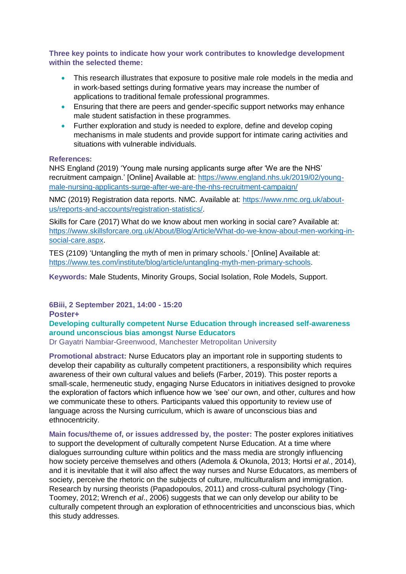**Three key points to indicate how your work contributes to knowledge development within the selected theme:**

- This research illustrates that exposure to positive male role models in the media and in work-based settings during formative years may increase the number of applications to traditional female professional programmes.
- Ensuring that there are peers and gender-specific support networks may enhance male student satisfaction in these programmes.
- Further exploration and study is needed to explore, define and develop coping mechanisms in male students and provide support for intimate caring activities and situations with vulnerable individuals.

#### **References:**

NHS England (2019) 'Young male nursing applicants surge after 'We are the NHS' recruitment campaign.' [Online] Available at: [https://www.england.nhs.uk/2019/02/young](https://www.england.nhs.uk/2019/02/young-male-nursing-applicants-surge-after-we-are-the-nhs-recruitment-campaign/)[male-nursing-applicants-surge-after-we-are-the-nhs-recruitment-campaign/](https://www.england.nhs.uk/2019/02/young-male-nursing-applicants-surge-after-we-are-the-nhs-recruitment-campaign/)

NMC (2019) Registration data reports. NMC. Available at: [https://www.nmc.org.uk/about](https://www.nmc.org.uk/about-us/reports-and-accounts/registration-statistics/)[us/reports-and-accounts/registration-statistics/.](https://www.nmc.org.uk/about-us/reports-and-accounts/registration-statistics/)

Skills for Care (2017) What do we know about men working in social care? Available at: [https://www.skillsforcare.org.uk/About/Blog/Article/What-do-we-know-about-men-working-in](https://www.skillsforcare.org.uk/About/Blog/Article/What-do-we-know-about-men-working-in-social-care.aspx)[social-care.aspx.](https://www.skillsforcare.org.uk/About/Blog/Article/What-do-we-know-about-men-working-in-social-care.aspx)

TES (2109) 'Untangling the myth of men in primary schools.' [Online] Available at: [https://www.tes.com/institute/blog/article/untangling-myth-men-primary-schools.](https://www.tes.com/institute/blog/article/untangling-myth-men-primary-schools)

**Keywords:** Male Students, Minority Groups, Social Isolation, Role Models, Support.

**6Biii, 2 September 2021, 14:00 - 15:20**

**Poster+**

**Developing culturally competent Nurse Education through increased self-awareness around unconscious bias amongst Nurse Educators**

Dr Gayatri Nambiar-Greenwood, Manchester Metropolitan University

**Promotional abstract:** Nurse Educators play an important role in supporting students to develop their capability as culturally competent practitioners, a responsibility which requires awareness of their own cultural values and beliefs (Farber, 2019). This poster reports a small-scale, hermeneutic study, engaging Nurse Educators in initiatives designed to provoke the exploration of factors which influence how we 'see' our own, and other, cultures and how we communicate these to others. Participants valued this opportunity to review use of language across the Nursing curriculum, which is aware of unconscious bias and ethnocentricity.

**Main focus/theme of, or issues addressed by, the poster:** The poster explores initiatives to support the development of culturally competent Nurse Education. At a time where dialogues surrounding culture within politics and the mass media are strongly influencing how society perceive themselves and others (Ademola & Okunola, 2013; Hortsi *et al.*, 2014), and it is inevitable that it will also affect the way nurses and Nurse Educators, as members of society, perceive the rhetoric on the subjects of culture, multiculturalism and immigration. Research by nursing theorists (Papadopoulos, 2011) and cross-cultural psychology (Ting-Toomey, 2012; Wrench *et al*., 2006) suggests that we can only develop our ability to be culturally competent through an exploration of ethnocentricities and unconscious bias, which this study addresses.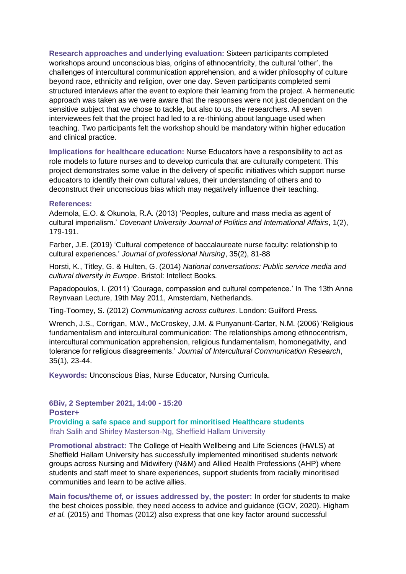**Research approaches and underlying evaluation:** Sixteen participants completed workshops around unconscious bias, origins of ethnocentricity, the cultural 'other', the challenges of intercultural communication apprehension, and a wider philosophy of culture beyond race, ethnicity and religion, over one day. Seven participants completed semi structured interviews after the event to explore their learning from the project. A hermeneutic approach was taken as we were aware that the responses were not just dependant on the sensitive subject that we chose to tackle, but also to us, the researchers. All seven interviewees felt that the project had led to a re-thinking about language used when teaching. Two participants felt the workshop should be mandatory within higher education and clinical practice.

**Implications for healthcare education:** Nurse Educators have a responsibility to act as role models to future nurses and to develop curricula that are culturally competent. This project demonstrates some value in the delivery of specific initiatives which support nurse educators to identify their own cultural values, their understanding of others and to deconstruct their unconscious bias which may negatively influence their teaching.

#### **References:**

Ademola, E.O. & Okunola, R.A. (2013) 'Peoples, culture and mass media as agent of cultural imperialism.' *Covenant University Journal of Politics and International Affairs*, 1(2), 179-191.

Farber, J.E. (2019) 'Cultural competence of baccalaureate nurse faculty: relationship to cultural experiences.' *Journal of professional Nursing*, 35(2), 81-88

Horsti, K., Titley, G. & Hulten, G. (2014) *National conversations: Public service media and cultural diversity in Europe*. Bristol: Intellect Books.

Papadopoulos, I. (2011) 'Courage, compassion and cultural competence.' In The 13th Anna Reynvaan Lecture, 19th May 2011, Amsterdam, Netherlands.

Ting-Toomey, S. (2012) *Communicating across cultures*. London: Guilford Press.

Wrench, J.S., Corrigan, M.W., McCroskey, J.M. & Punyanunt-Carter, N.M. (2006) 'Religious fundamentalism and intercultural communication: The relationships among ethnocentrism, intercultural communication apprehension, religious fundamentalism, homonegativity, and tolerance for religious disagreements.' *Journal of Intercultural Communication Research*, 35(1), 23-44.

**Keywords:** Unconscious Bias, Nurse Educator, Nursing Curricula.

#### **6Biv, 2 September 2021, 14:00 - 15:20 Poster+**

**Providing a safe space and support for minoritised Healthcare students** Ifrah Salih and Shirley Masterson-Ng, Sheffield Hallam University

**Promotional abstract:** The College of Health Wellbeing and Life Sciences (HWLS) at Sheffield Hallam University has successfully implemented minoritised students network groups across Nursing and Midwifery (N&M) and Allied Health Professions (AHP) where students and staff meet to share experiences, support students from racially minoritised communities and learn to be active allies.

**Main focus/theme of, or issues addressed by, the poster:** In order for students to make the best choices possible, they need access to advice and guidance (GOV, 2020). Higham *et al.* (2015) and Thomas (2012) also express that one key factor around successful